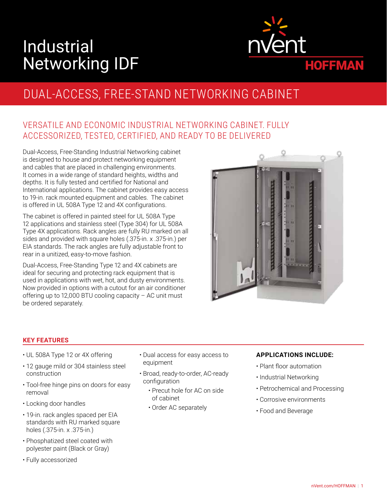# Industrial Networking IDF



## DUAL-ACCESS, FREE-STAND NETWORKING CABINET

### VERSATILE AND ECONOMIC INDUSTRIAL NETWORKING CABINET. FULLY ACCESSORIZED, TESTED, CERTIFIED, AND READY TO BE DELIVERED

Dual-Access, Free-Standing Industrial Networking cabinet is designed to house and protect networking equipment and cables that are placed in challenging environments. It comes in a wide range of standard heights, widths and depths. It is fully tested and certified for National and International applications. The cabinet provides easy access to 19-in. rack mounted equipment and cables. The cabinet is offered in UL 508A Type 12 and 4X configurations.

The cabinet is offered in painted steel for UL 508A Type 12 applications and stainless steel (Type 304) for UL 508A Type 4X applications. Rack angles are fully RU marked on all sides and provided with square holes (.375-in. x .375-in.) per EIA standards. The rack angles are fully adjustable front to rear in a unitized, easy-to-move fashion.

Dual-Access, Free-Standing Type 12 and 4X cabinets are ideal for securing and protecting rack equipment that is used in applications with wet, hot, and dusty environments. Now provided in options with a cutout for an air conditioner offering up to 12,000 BTU cooling capacity – AC unit must be ordered separately.



#### **KEY FEATURES**

- UL 508A Type 12 or 4X offering
- 12 gauge mild or 304 stainless steel construction
- Tool-free hinge pins on doors for easy removal
- Locking door handles
- 19-in. rack angles spaced per EIA standards with RU marked square holes (.375-in. x .375-in.)
- Phosphatized steel coated with polyester paint (Black or Gray)
- Fully accessorized
- Dual access for easy access to equipment
- Broad, ready-to-order, AC-ready configuration
	- Precut hole for AC on side of cabinet
	- Order AC separately

#### **APPLICATIONS INCLUDE:**

- Plant floor automation
- Industrial Networking
- Petrochemical and Processing
- Corrosive environments
- Food and Beverage